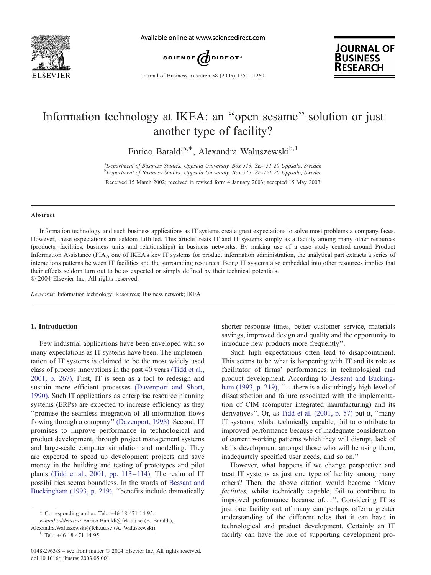

Available online at www.sciencedirect.com



Journal of Business Research 58 (2005) 1251 – 1260



# Information technology at IKEA: an ''open sesame'' solution or just another type of facility?

Enrico Baraldi<sup>a,\*</sup>, Alexandra Waluszewski<sup>b,1</sup>

<sup>a</sup>Department of Business Studies, Uppsala University, Box 513, SE-751 20 Uppsala, Sweden **b**<br>Department of Business Studies, Uppsala University, Box 513, SE-751 20 Uppsala, Sweden Received 15 March 2002; received in revised form 4 January 2003; accepted 15 May 2003

## Abstract

Information technology and such business applications as IT systems create great expectations to solve most problems a company faces. However, these expectations are seldom fulfilled. This article treats IT and IT systems simply as a facility among many other resources (products, facilities, business units and relationships) in business networks. By making use of a case study centred around Product Information Assistance (PIA), one of IKEA's key IT systems for product information administration, the analytical part extracts a series of interactions patterns between IT facilities and the surrounding resources. Being IT systems also embedded into other resources implies that their effects seldom turn out to be as expected or simply defined by their technical potentials.  $© 2004 Elsevier Inc. All rights reserved.$ 

Keywords: Information technology; Resources; Business network; IKEA

## 1. Introduction

Few industrial applications have been enveloped with so many expectations as IT systems have been. The implementation of IT systems is claimed to be the most widely used class of process innovations in the past 40 years [\(Tidd et al.,](#page-9-0) 2001, p. 267). First, IT is seen as a tool to redesign and sustain more efficient processes [\(Davenport and Short,](#page-9-0) 1990). Such IT applications as enterprise resource planning systems (ERPs) are expected to increase efficiency as they ''promise the seamless integration of all information flows flowing through a company'' [\(Davenport, 1998\).](#page-9-0) Second, IT promises to improve performance in technological and product development, through project management systems and large-scale computer simulation and modelling. They are expected to speed up development projects and save money in the building and testing of prototypes and pilot plants (Tidd et al., 2001, pp.  $113-114$ ). The realm of IT possibilities seems boundless. In the words of [Bessant and](#page-9-0) Buckingham (1993, p. 219), ''benefits include dramatically

shorter response times, better customer service, materials savings, improved design and quality and the opportunity to introduce new products more frequently''.

Such high expectations often lead to disappointment. This seems to be what is happening with IT and its role as facilitator of firms' performances in technological and product development. According to [Bessant and Bucking](#page-9-0)ham (1993, p. 219), "...there is a disturbingly high level of dissatisfaction and failure associated with the implementation of CIM (computer integrated manufacturing) and its derivatives''. Or, as [Tidd et al. \(2001, p. 57\)](#page-9-0) put it, ''many IT systems, whilst technically capable, fail to contribute to improved performance because of inadequate consideration of current working patterns which they will disrupt, lack of skills development amongst those who will be using them, inadequately specified user needs, and so on.''

However, what happens if we change perspective and treat IT systems as just one type of facility among many others? Then, the above citation would become ''Many facilities, whilst technically capable, fail to contribute to improved performance because of...''. Considering IT as just one facility out of many can perhaps offer a greater understanding of the different roles that it can have in technological and product development. Certainly an IT facility can have the role of supporting development pro-

<sup>\*</sup> Corresponding author. Tel.: +46-18-471-14-95.

E-mail addresses: Enrico.Baraldi@fek.uu.se (E. Baraldi),

Alexandra.Waluszewski@fek.uu.se (A. Waluszewski).

 $1$  Tel.:  $+46-18-471-14-95$ .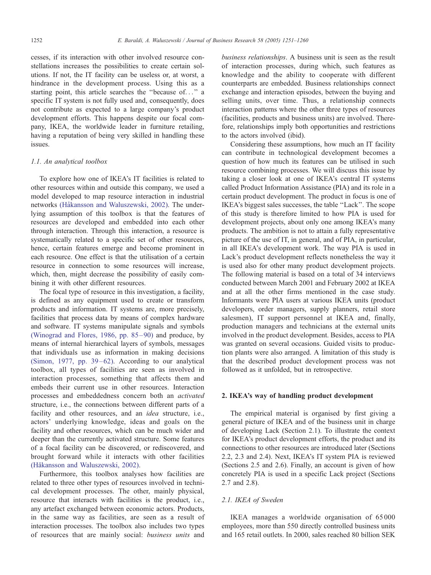cesses, if its interaction with other involved resource constellations increases the possibilities to create certain solutions. If not, the IT facility can be useless or, at worst, a hindrance in the development process. Using this as a starting point, this article searches the ''because of...'' a specific IT system is not fully used and, consequently, does not contribute as expected to a large company's product development efforts. This happens despite our focal company, IKEA, the worldwide leader in furniture retailing, having a reputation of being very skilled in handling these issues.

#### 1.1. An analytical toolbox

To explore how one of IKEA's IT facilities is related to other resources within and outside this company, we used a model developed to map resource interaction in industrial networks (Håkansson and Waluszewski, 2002). The underlying assumption of this toolbox is that the features of resources are developed and embedded into each other through interaction. Through this interaction, a resource is systematically related to a specific set of other resources, hence, certain features emerge and become prominent in each resource. One effect is that the utilisation of a certain resource in connection to some resources will increase, which, then, might decrease the possibility of easily combining it with other different resources.

The focal type of resource in this investigation, a facility, is defined as any equipment used to create or transform products and information. IT systems are, more precisely, facilities that process data by means of complex hardware and software. IT systems manipulate signals and symbols (Winograd and Flores, 1986, pp.  $85-90$ ) and produce, by means of internal hierarchical layers of symbols, messages that individuals use as information in making decisions (Simon, 1977, pp. 39 $-62$ ). According to our analytical toolbox, all types of facilities are seen as involved in interaction processes, something that affects them and embeds their current use in other resources. Interaction processes and embeddedness concern both an activated structure, i.e., the connections between different parts of a facility and other resources, and an *idea* structure, i.e., actors' underlying knowledge, ideas and goals on the facility and other resources, which can be much wider and deeper than the currently activated structure. Some features of a focal facility can be discovered, or rediscovered, and brought forward while it interacts with other facilities (Håkansson and Waluszewski, 2002).

Furthermore, this toolbox analyses how facilities are related to three other types of resources involved in technical development processes. The other, mainly physical, resource that interacts with facilities is the product, i.e., any artefact exchanged between economic actors. Products, in the same way as facilities, are seen as a result of interaction processes. The toolbox also includes two types of resources that are mainly social: business units and

business relationships. A business unit is seen as the result of interaction processes, during which, such features as knowledge and the ability to cooperate with different counterparts are embedded. Business relationships connect exchange and interaction episodes, between the buying and selling units, over time. Thus, a relationship connects interaction patterns where the other three types of resources (facilities, products and business units) are involved. Therefore, relationships imply both opportunities and restrictions to the actors involved (ibid).

Considering these assumptions, how much an IT facility can contribute in technological development becomes a question of how much its features can be utilised in such resource combining processes. We will discuss this issue by taking a closer look at one of IKEA's central IT systems called Product Information Assistance (PIA) and its role in a certain product development. The product in focus is one of IKEA's biggest sales successes, the table ''Lack''. The scope of this study is therefore limited to how PIA is used for development projects, about only one among IKEA's many products. The ambition is not to attain a fully representative picture of the use of IT, in general, and of PIA, in particular, in all IKEA's development work. The way PIA is used in Lack's product development reflects nonetheless the way it is used also for other many product development projects. The following material is based on a total of 34 interviews conducted between March 2001 and February 2002 at IKEA and at all the other firms mentioned in the case study. Informants were PIA users at various IKEA units (product developers, order managers, supply planners, retail store salesmen), IT support personnel at IKEA and, finally, production managers and technicians at the external units involved in the product development. Besides, access to PIA was granted on several occasions. Guided visits to production plants were also arranged. A limitation of this study is that the described product development process was not followed as it unfolded, but in retrospective.

# 2. IKEA's way of handling product development

The empirical material is organised by first giving a general picture of IKEA and of the business unit in charge of developing Lack (Section 2.1). To illustrate the context for IKEA's product development efforts, the product and its connections to other resources are introduced later (Sections 2.2, 2.3 and 2.4). Next, IKEA's IT system PIA is reviewed (Sections 2.5 and 2.6). Finally, an account is given of how concretely PIA is used in a specific Lack project (Sections 2.7 and 2.8).

## 2.1. IKEA of Sweden

IKEA manages a worldwide organisation of 65 000 employees, more than 550 directly controlled business units and 165 retail outlets. In 2000, sales reached 80 billion SEK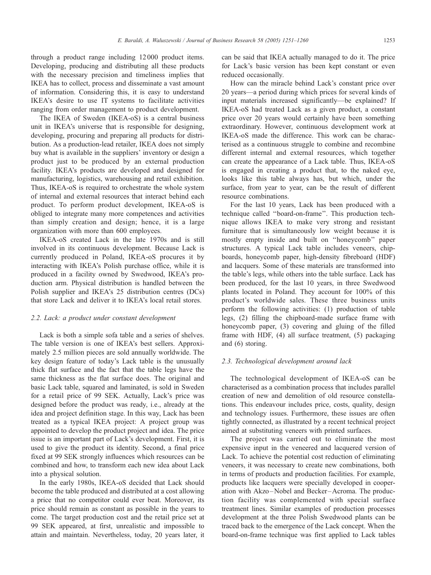through a product range including 12 000 product items. Developing, producing and distributing all these products with the necessary precision and timeliness implies that IKEA has to collect, process and disseminate a vast amount of information. Considering this, it is easy to understand IKEA's desire to use IT systems to facilitate activities ranging from order management to product development.

The IKEA of Sweden (IKEA-oS) is a central business unit in IKEA's universe that is responsible for designing, developing, procuring and preparing all products for distribution. As a production-lead retailer, IKEA does not simply buy what is available in the suppliers' inventory or design a product just to be produced by an external production facility. IKEA's products are developed and designed for manufacturing, logistics, warehousing and retail exhibition. Thus, IKEA-oS is required to orchestrate the whole system of internal and external resources that interact behind each product. To perform product development, IKEA-oS is obliged to integrate many more competences and activities than simply creation and design; hence, it is a large organization with more than 600 employees.

IKEA-oS created Lack in the late 1970s and is still involved in its continuous development. Because Lack is currently produced in Poland, IKEA-oS procures it by interacting with IKEA's Polish purchase office, while it is produced in a facility owned by Swedwood, IKEA's production arm. Physical distribution is handled between the Polish supplier and IKEA's 25 distribution centres (DCs) that store Lack and deliver it to IKEA's local retail stores.

#### 2.2. Lack: a product under constant development

Lack is both a simple sofa table and a series of shelves. The table version is one of IKEA's best sellers. Approximately 2.5 million pieces are sold annually worldwide. The key design feature of today's Lack table is the unusually thick flat surface and the fact that the table legs have the same thickness as the flat surface does. The original and basic Lack table, squared and laminated, is sold in Sweden for a retail price of 99 SEK. Actually, Lack's price was designed before the product was ready, i.e., already at the idea and project definition stage. In this way, Lack has been treated as a typical IKEA project: A project group was appointed to develop the product project and idea. The price issue is an important part of Lack's development. First, it is used to give the product its identity. Second, a final price fixed at 99 SEK strongly influences which resources can be combined and how, to transform each new idea about Lack into a physical solution.

In the early 1980s, IKEA-oS decided that Lack should become the table produced and distributed at a cost allowing a price that no competitor could ever beat. Moreover, its price should remain as constant as possible in the years to come. The target production cost and the retail price set at 99 SEK appeared, at first, unrealistic and impossible to attain and maintain. Nevertheless, today, 20 years later, it

can be said that IKEA actually managed to do it. The price for Lack's basic version has been kept constant or even reduced occasionally.

How can the miracle behind Lack's constant price over 20 years—a period during which prices for several kinds of input materials increased significantly—be explained? If IKEA-oS had treated Lack as a given product, a constant price over 20 years would certainly have been something extraordinary. However, continuous development work at IKEA-oS made the difference. This work can be characterised as a continuous struggle to combine and recombine different internal and external resources, which together can create the appearance of a Lack table. Thus, IKEA-oS is engaged in creating a product that, to the naked eye, looks like this table always has, but which, under the surface, from year to year, can be the result of different resource combinations.

For the last 10 years, Lack has been produced with a technique called ''board-on-frame''. This production technique allows IKEA to make very strong and resistant furniture that is simultaneously low weight because it is mostly empty inside and built on ''honeycomb'' paper structures. A typical Lack table includes veneers, chipboards, honeycomb paper, high-density fibreboard (HDF) and lacquers. Some of these materials are transformed into the table's legs, while others into the table surface. Lack has been produced, for the last 10 years, in three Swedwood plants located in Poland. They account for 100% of this product's worldwide sales. These three business units perform the following activities: (1) production of table legs, (2) filling the chipboard-made surface frame with honeycomb paper, (3) covering and gluing of the filled frame with HDF, (4) all surface treatment, (5) packaging and (6) storing.

#### 2.3. Technological development around lack

The technological development of IKEA-oS can be characterised as a combination process that includes parallel creation of new and demolition of old resource constellations. This endeavour includes price, costs, quality, design and technology issues. Furthermore, these issues are often tightly connected, as illustrated by a recent technical project aimed at substituting veneers with printed surfaces.

The project was carried out to eliminate the most expensive input in the veneered and lacquered version of Lack. To achieve the potential cost reduction of eliminating veneers, it was necessary to create new combinations, both in terms of products and production facilities. For example, products like lacquers were specially developed in cooperation with Akzo –Nobel and Becker –Acroma. The production facility was complemented with special surface treatment lines. Similar examples of production processes development at the three Polish Swedwood plants can be traced back to the emergence of the Lack concept. When the board-on-frame technique was first applied to Lack tables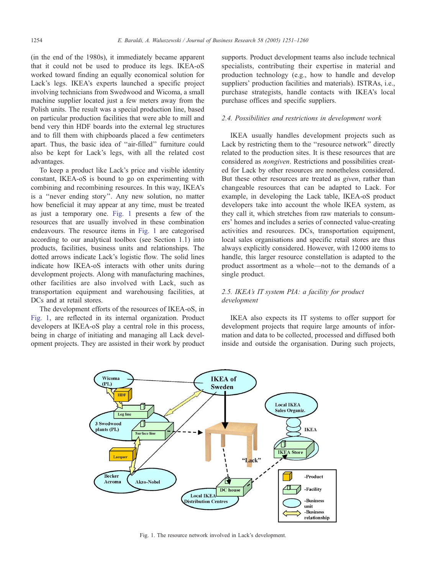(in the end of the 1980s), it immediately became apparent that it could not be used to produce its legs. IKEA-oS worked toward finding an equally economical solution for Lack's legs. IKEA's experts launched a specific project involving technicians from Swedwood and Wicoma, a small machine supplier located just a few meters away from the Polish units. The result was a special production line, based on particular production facilities that were able to mill and bend very thin HDF boards into the external leg structures and to fill them with chipboards placed a few centimeters apart. Thus, the basic idea of ''air-filled'' furniture could also be kept for Lack's legs, with all the related cost advantages.

To keep a product like Lack's price and visible identity constant, IKEA-oS is bound to go on experimenting with combining and recombining resources. In this way, IKEA's is a ''never ending story''. Any new solution, no matter how beneficial it may appear at any time, must be treated as just a temporary one. Fig. 1 presents a few of the resources that are usually involved in these combination endeavours. The resource items in Fig. 1 are categorised according to our analytical toolbox (see Section 1.1) into products, facilities, business units and relationships. The dotted arrows indicate Lack's logistic flow. The solid lines indicate how IKEA-oS interacts with other units during development projects. Along with manufacturing machines, other facilities are also involved with Lack, such as transportation equipment and warehousing facilities, at DCs and at retail stores.

The development efforts of the resources of IKEA-oS, in Fig. 1, are reflected in its internal organization. Product developers at IKEA-oS play a central role in this process, being in charge of initiating and managing all Lack development projects. They are assisted in their work by product supports. Product development teams also include technical specialists, contributing their expertise in material and production technology (e.g., how to handle and develop suppliers' production facilities and materials). ISTRAs, i.e., purchase strategists, handle contacts with IKEA's local purchase offices and specific suppliers.

#### 2.4. Possibilities and restrictions in development work

IKEA usually handles development projects such as Lack by restricting them to the ''resource network'' directly related to the production sites. It is these resources that are considered as nongiven. Restrictions and possibilities created for Lack by other resources are nonetheless considered. But these other resources are treated as given, rather than changeable resources that can be adapted to Lack. For example, in developing the Lack table, IKEA-oS product developers take into account the whole IKEA system, as they call it, which stretches from raw materials to consumers' homes and includes a series of connected value-creating activities and resources. DCs, transportation equipment, local sales organisations and specific retail stores are thus always explicitly considered. However, with 12 000 items to handle, this larger resource constellation is adapted to the product assortment as a whole—not to the demands of a single product.

# 2.5. IKEA's IT system PIA: a facility for product development

IKEA also expects its IT systems to offer support for development projects that require large amounts of information and data to be collected, processed and diffused both inside and outside the organisation. During such projects,



Fig. 1. The resource network involved in Lack's development.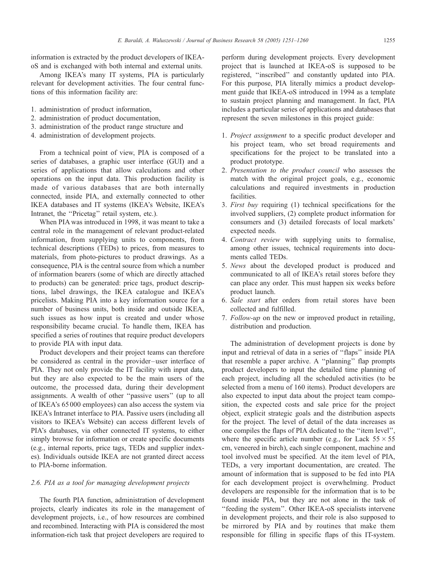information is extracted by the product developers of IKEAoS and is exchanged with both internal and external units.

Among IKEA's many IT systems, PIA is particularly relevant for development activities. The four central functions of this information facility are:

- 1. administration of product information,
- 2. administration of product documentation,
- 3. administration of the product range structure and
- 4. administration of development projects.

From a technical point of view, PIA is composed of a series of databases, a graphic user interface (GUI) and a series of applications that allow calculations and other operations on the input data. This production facility is made of various databases that are both internally connected, inside PIA, and externally connected to other IKEA databases and IT systems (IKEA's Website, IKEA's Intranet, the ''Pricetag'' retail system, etc.).

When PIA was introduced in 1998, it was meant to take a central role in the management of relevant product-related information, from supplying units to components, from technical descriptions (TEDs) to prices, from measures to materials, from photo-pictures to product drawings. As a consequence, PIA is the central source from which a number of information bearers (some of which are directly attached to products) can be generated: price tags, product descriptions, label drawings, the IKEA catalogue and IKEA's pricelists. Making PIA into a key information source for a number of business units, both inside and outside IKEA, such issues as how input is created and under whose responsibility became crucial. To handle them, IKEA has specified a series of routines that require product developers to provide PIA with input data.

Product developers and their project teams can therefore be considered as central in the provider – user interface of PIA. They not only provide the IT facility with input data, but they are also expected to be the main users of the outcome, the processed data, during their development assignments. A wealth of other ''passive users'' (up to all of IKEA's 65 000 employees) can also access the system via IKEA's Intranet interface to PIA. Passive users (including all visitors to IKEA's Website) can access different levels of PIA's databases, via other connected IT systems, to either simply browse for information or create specific documents (e.g., internal reports, price tags, TEDs and supplier indexes). Individuals outside IKEA are not granted direct access to PIA-borne information.

## 2.6. PIA as a tool for managing development projects

The fourth PIA function, administration of development projects, clearly indicates its role in the management of development projects, i.e., of how resources are combined and recombined. Interacting with PIA is considered the most information-rich task that project developers are required to

perform during development projects. Every development project that is launched at IKEA-oS is supposed to be registered, ''inscribed'' and constantly updated into PIA. For this purpose, PIA literally mimics a product development guide that IKEA-oS introduced in 1994 as a template to sustain project planning and management. In fact, PIA includes a particular series of applications and databases that represent the seven milestones in this project guide:

- 1. Project assignment to a specific product developer and his project team, who set broad requirements and specifications for the project to be translated into a product prototype.
- 2. Presentation to the product council who assesses the match with the original project goals, e.g., economic calculations and required investments in production facilities.
- 3. First buy requiring (1) technical specifications for the involved suppliers, (2) complete product information for consumers and (3) detailed forecasts of local markets' expected needs.
- 4. Contract review with supplying units to formalise, among other issues, technical requirements into documents called TEDs.
- 5. News about the developed product is produced and communicated to all of IKEA's retail stores before they can place any order. This must happen six weeks before product launch.
- 6. Sale start after orders from retail stores have been collected and fulfilled.
- 7. Follow-up on the new or improved product in retailing, distribution and production.

The administration of development projects is done by input and retrieval of data in a series of ''flaps'' inside PIA that resemble a paper archive. A ''planning'' flap prompts product developers to input the detailed time planning of each project, including all the scheduled activities (to be selected from a menu of 160 items). Product developers are also expected to input data about the project team composition, the expected costs and sale price for the project object, explicit strategic goals and the distribution aspects for the project. The level of detail of the data increases as one compiles the flaps of PIA dedicated to the ''item level'', where the specific article number (e.g., for Lack  $55 \times 55$ ) cm, veneered in birch), each single component, machine and tool involved must be specified. At the item level of PIA, TEDs, a very important documentation, are created. The amount of information that is supposed to be fed into PIA for each development project is overwhelming. Product developers are responsible for the information that is to be found inside PIA, but they are not alone in the task of ''feeding the system''. Other IKEA-oS specialists intervene in development projects, and their role is also supposed to be mirrored by PIA and by routines that make them responsible for filling in specific flaps of this IT-system.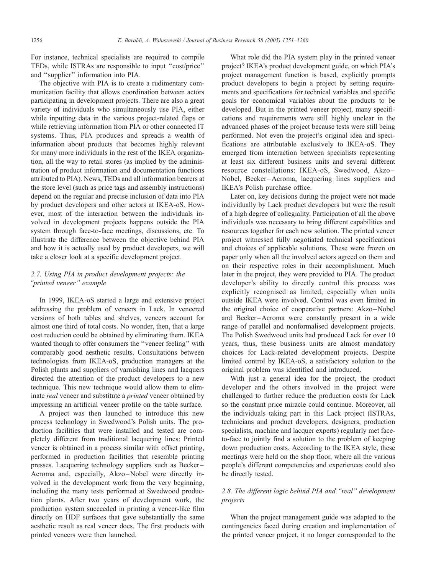For instance, technical specialists are required to compile TEDs, while ISTRAs are responsible to input ''cost/price'' and ''supplier'' information into PIA.

The objective with PIA is to create a rudimentary communication facility that allows coordination between actors participating in development projects. There are also a great variety of individuals who simultaneously use PIA, either while inputting data in the various project-related flaps or while retrieving information from PIA or other connected IT systems. Thus, PIA produces and spreads a wealth of information about products that becomes highly relevant for many more individuals in the rest of the IKEA organization, all the way to retail stores (as implied by the administration of product information and documentation functions attributed to PIA). News, TEDs and all information bearers at the store level (such as price tags and assembly instructions) depend on the regular and precise inclusion of data into PIA by product developers and other actors at IKEA-oS. However, most of the interaction between the individuals involved in development projects happens outside the PIA system through face-to-face meetings, discussions, etc. To illustrate the difference between the objective behind PIA and how it is actually used by product developers, we will take a closer look at a specific development project.

# 2.7. Using PIA in product development projects: the ''printed veneer'' example

In 1999, IKEA-oS started a large and extensive project addressing the problem of veneers in Lack. In veneered versions of both tables and shelves, veneers account for almost one third of total costs. No wonder, then, that a large cost reduction could be obtained by eliminating them. IKEA wanted though to offer consumers the ''veneer feeling'' with comparably good aesthetic results. Consultations between technologists from IKEA-oS, production managers at the Polish plants and suppliers of varnishing lines and lacquers directed the attention of the product developers to a new technique. This new technique would allow them to eliminate real veneer and substitute a printed veneer obtained by impressing an artificial veneer profile on the table surface.

A project was then launched to introduce this new process technology in Swedwood's Polish units. The production facilities that were installed and tested are completely different from traditional lacquering lines: Printed veneer is obtained in a process similar with offset printing, performed in production facilities that resemble printing presses. Lacquering technology suppliers such as Becker – Acroma and, especially, Akzo-Nobel were directly involved in the development work from the very beginning, including the many tests performed at Swedwood production plants. After two years of development work, the production system succeeded in printing a veneer-like film directly on HDF surfaces that gave substantially the same aesthetic result as real veneer does. The first products with printed veneers were then launched.

What role did the PIA system play in the printed veneer project? IKEA's product development guide, on which PIA's project management function is based, explicitly prompts product developers to begin a project by setting requirements and specifications for technical variables and specific goals for economical variables about the products to be developed. But in the printed veneer project, many specifications and requirements were still highly unclear in the advanced phases of the project because tests were still being performed. Not even the project's original idea and specifications are attributable exclusively to IKEA-oS. They emerged from interaction between specialists representing at least six different business units and several different resource constellations: IKEA-oS, Swedwood, Akzo – Nobel, Becker–Acroma, lacquering lines suppliers and IKEA's Polish purchase office.

Later on, key decisions during the project were not made individually by Lack product developers but were the result of a high degree of collegiality. Participation of all the above individuals was necessary to bring different capabilities and resources together for each new solution. The printed veneer project witnessed fully negotiated technical specifications and choices of applicable solutions. These were frozen on paper only when all the involved actors agreed on them and on their respective roles in their accomplishment. Much later in the project, they were provided to PIA. The product developer's ability to directly control this process was explicitly recognised as limited, especially when units outside IKEA were involved. Control was even limited in the original choice of cooperative partners: Akzo-Nobel and Becker –Acroma were constantly present in a wide range of parallel and nonformalised development projects. The Polish Swedwood units had produced Lack for over 10 years, thus, these business units are almost mandatory choices for Lack-related development projects. Despite limited control by IKEA-oS, a satisfactory solution to the original problem was identified and introduced.

With just a general idea for the project, the product developer and the others involved in the project were challenged to further reduce the production costs for Lack so the constant price miracle could continue. Moreover, all the individuals taking part in this Lack project (ISTRAs, technicians and product developers, designers, production specialists, machine and lacquer experts) regularly met faceto-face to jointly find a solution to the problem of keeping down production costs. According to the IKEA style, these meetings were held on the shop floor, where all the various people's different competencies and experiences could also be directly tested.

# 2.8. The different logic behind PIA and ''real'' development projects

When the project management guide was adapted to the contingencies faced during creation and implementation of the printed veneer project, it no longer corresponded to the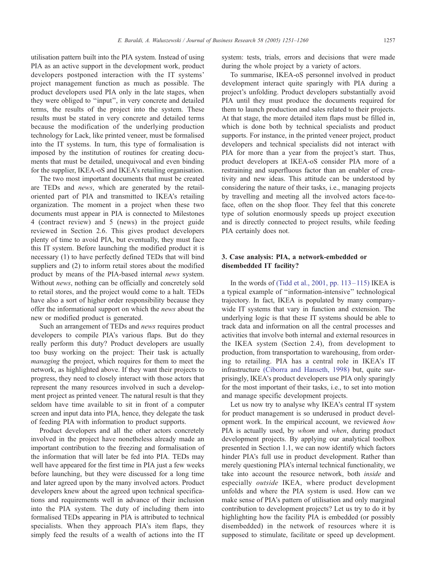utilisation pattern built into the PIA system. Instead of using PIA as an active support in the development work, product developers postponed interaction with the IT systems' project management function as much as possible. The product developers used PIA only in the late stages, when they were obliged to ''input'', in very concrete and detailed terms, the results of the project into the system. These results must be stated in very concrete and detailed terms because the modification of the underlying production technology for Lack, like printed veneer, must be formalised into the IT systems. In turn, this type of formalisation is imposed by the institution of routines for creating documents that must be detailed, unequivocal and even binding for the supplier, IKEA-oS and IKEA's retailing organisation.

The two most important documents that must be created are TEDs and news, which are generated by the retailoriented part of PIA and transmitted to IKEA's retailing organization. The moment in a project when these two documents must appear in PIA is connected to Milestones 4 (contract review) and 5 (news) in the project guide reviewed in Section 2.6. This gives product developers plenty of time to avoid PIA, but eventually, they must face this IT system. Before launching the modified product it is necessary (1) to have perfectly defined TEDs that will bind suppliers and (2) to inform retail stores about the modified product by means of the PIA-based internal news system. Without news, nothing can be officially and concretely sold to retail stores, and the project would come to a halt. TEDs have also a sort of higher order responsibility because they offer the informational support on which the news about the new or modified product is generated.

Such an arrangement of TEDs and news requires product developers to compile PIA's various flaps. But do they really perform this duty? Product developers are usually too busy working on the project: Their task is actually managing the project, which requires for them to meet the network, as highlighted above. If they want their projects to progress, they need to closely interact with those actors that represent the many resources involved in such a development project as printed veneer. The natural result is that they seldom have time available to sit in front of a computer screen and input data into PIA, hence, they delegate the task of feeding PIA with information to product supports.

Product developers and all the other actors concretely involved in the project have nonetheless already made an important contribution to the freezing and formalisation of the information that will later be fed into PIA. TEDs may well have appeared for the first time in PIA just a few weeks before launching, but they were discussed for a long time and later agreed upon by the many involved actors. Product developers knew about the agreed upon technical specifications and requirements well in advance of their inclusion into the PIA system. The duty of including them into formalised TEDs appearing in PIA is attributed to technical specialists. When they approach PIA's item flaps, they simply feed the results of a wealth of actions into the IT

system: tests, trials, errors and decisions that were made during the whole project by a variety of actors.

To summarise, IKEA-oS personnel involved in product development interact quite sparingly with PIA during a project's unfolding. Product developers substantially avoid PIA until they must produce the documents required for them to launch production and sales related to their projects. At that stage, the more detailed item flaps must be filled in, which is done both by technical specialists and product supports. For instance, in the printed veneer project, product developers and technical specialists did not interact with PIA for more than a year from the project's start. Thus, product developers at IKEA-oS consider PIA more of a restraining and superfluous factor than an enabler of creativity and new ideas. This attitude can be understood by considering the nature of their tasks, i.e., managing projects by travelling and meeting all the involved actors face-toface, often on the shop floor. They feel that this concrete type of solution enormously speeds up project execution and is directly connected to project results, while feeding PIA certainly does not.

# 3. Case analysis: PIA, a network-embedded or disembedded IT facility?

In the words of (Tidd et al., 2001, pp.  $113-115$ ) IKEA is a typical example of ''information-intensive'' technological trajectory. In fact, IKEA is populated by many companywide IT systems that vary in function and extension. The underlying logic is that these IT systems should be able to track data and information on all the central processes and activities that involve both internal and external resources in the IKEA system (Section 2.4), from development to production, from transportation to warehousing, from ordering to retailing. PIA has a central role in IKEA's IT infrastructure [\(Ciborra and Hanseth, 1998\)](#page-9-0) but, quite surprisingly, IKEA's product developers use PIA only sparingly for the most important of their tasks, i.e., to set into motion and manage specific development projects.

Let us now try to analyse why IKEA's central IT system for product management is so underused in product development work. In the empirical account, we reviewed how PIA is actually used, by whom and when, during product development projects. By applying our analytical toolbox presented in Section 1.1, we can now identify which factors hinder PIA's full use in product development. Rather than merely questioning PIA's internal technical functionality, we take into account the resource network, both inside and especially outside IKEA, where product development unfolds and where the PIA system is used. How can we make sense of PIA's pattern of utilisation and only marginal contribution to development projects? Let us try to do it by highlighting how the facility PIA is embedded (or possibly disembedded) in the network of resources where it is supposed to stimulate, facilitate or speed up development.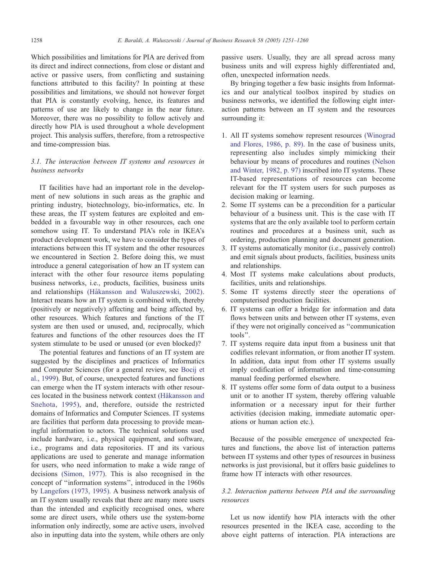Which possibilities and limitations for PIA are derived from its direct and indirect connections, from close or distant and active or passive users, from conflicting and sustaining functions attributed to this facility? In pointing at these possibilities and limitations, we should not however forget that PIA is constantly evolving, hence, its features and patterns of use are likely to change in the near future. Moreover, there was no possibility to follow actively and directly how PIA is used throughout a whole development project. This analysis suffers, therefore, from a retrospective and time-compression bias.

# 3.1. The interaction between IT systems and resources in business networks

IT facilities have had an important role in the development of new solutions in such areas as the graphic and printing industry, biotechnology, bio-informatics, etc. In these areas, the IT system features are exploited and embedded in a favourable way in other resources, each one somehow using IT. To understand PIA's role in IKEA's product development work, we have to consider the types of interactions between this IT system and the other resources we encountered in Section 2. Before doing this, we must introduce a general categorisation of how an IT system can interact with the other four resource items populating business networks, i.e., products, facilities, business units and relationships (Håkansson and Waluszewski, 2002). Interact means how an IT system is combined with, thereby (positively or negatively) affecting and being affected by, other resources. Which features and functions of the IT system are then used or unused, and, reciprocally, which features and functions of the other resources does the IT system stimulate to be used or unused (or even blocked)?

The potential features and functions of an IT system are suggested by the disciplines and practices of Informatics and Computer Sciences (for a general review, see [Bocij et](#page-9-0) al., 1999). But, of course, unexpected features and functions can emerge when the IT system interacts with other resources located in the business network context (Håkansson and Snehota, 1995), and, therefore, outside the restricted domains of Informatics and Computer Sciences. IT systems are facilities that perform data processing to provide meaningful information to actors. The technical solutions used include hardware, i.e., physical equipment, and software, i.e., programs and data repositories. IT and its various applications are used to generate and manage information for users, who need information to make a wide range of decisions [\(Simon, 1977\).](#page-9-0) This is also recognised in the concept of ''information systems'', introduced in the 1960s by [Langefors \(1973, 1995\).](#page-9-0) A business network analysis of an IT system usually reveals that there are many more users than the intended and explicitly recognised ones, where some are direct users, while others use the system-borne information only indirectly, some are active users, involved also in inputting data into the system, while others are only

passive users. Usually, they are all spread across many business units and will express highly differentiated and, often, unexpected information needs.

By bringing together a few basic insights from Informatics and our analytical toolbox inspired by studies on business networks, we identified the following eight interaction patterns between an IT system and the resources surrounding it:

- 1. All IT systems somehow represent resources [\(Winograd](#page-9-0) and Flores, 1986, p. 89). In the case of business units, representing also includes simply mimicking their behaviour by means of procedures and routines [\(Nelson](#page-9-0) and Winter, 1982, p. 97) inscribed into IT systems. These IT-based representations of resources can become relevant for the IT system users for such purposes as decision making or learning.
- 2. Some IT systems can be a precondition for a particular behaviour of a business unit. This is the case with IT systems that are the only available tool to perform certain routines and procedures at a business unit, such as ordering, production planning and document generation.
- 3. IT systems automatically monitor (i.e., passively control) and emit signals about products, facilities, business units and relationships.
- 4. Most IT systems make calculations about products, facilities, units and relationships.
- 5. Some IT systems directly steer the operations of computerised production facilities.
- 6. IT systems can offer a bridge for information and data flows between units and between other IT systems, even if they were not originally conceived as ''communication tools''.
- 7. IT systems require data input from a business unit that codifies relevant information, or from another IT system. In addition, data input from other IT systems usually imply codification of information and time-consuming manual feeding performed elsewhere.
- 8. IT systems offer some form of data output to a business unit or to another IT system, thereby offering valuable information or a necessary input for their further activities (decision making, immediate automatic operations or human action etc.).

Because of the possible emergence of unexpected features and functions, the above list of interaction patterns between IT systems and other types of resources in business networks is just provisional, but it offers basic guidelines to frame how IT interacts with other resources.

# 3.2. Interaction patterns between PIA and the surrounding resources

Let us now identify how PIA interacts with the other resources presented in the IKEA case, according to the above eight patterns of interaction. PIA interactions are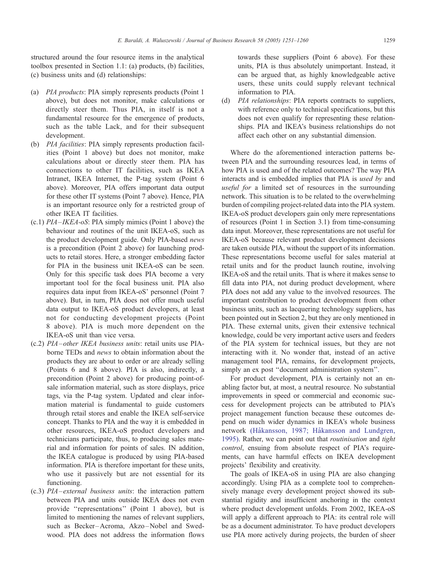- (a) PIA products: PIA simply represents products (Point 1 above), but does not monitor, make calculations or directly steer them. Thus PIA, in itself is not a fundamental resource for the emergence of products, such as the table Lack, and for their subsequent development.
- (b) PIA facilities: PIA simply represents production facilities (Point 1 above) but does not monitor, make calculations about or directly steer them. PIA has connections to other IT facilities, such as IKEA Intranet, IKEA Internet, the P-tag system (Point 6 above). Moreover, PIA offers important data output for these other IT systems (Point 7 above). Hence, PIA is an important resource only for a restricted group of other IKEA IT facilities.
- $(c,1)$  *PIA IKEA-oS*: PIA simply mimics (Point 1 above) the behaviour and routines of the unit IKEA-oS, such as the product development guide. Only PIA-based news is a precondition (Point 2 above) for launching products to retail stores. Here, a stronger embedding factor for PIA in the business unit IKEA-oS can be seen. Only for this specific task does PIA become a very important tool for the focal business unit. PIA also requires data input from IKEA-oS' personnel (Point 7 above). But, in turn, PIA does not offer much useful data output to IKEA-oS product developers, at least not for conducting development projects (Point 8 above). PIA is much more dependent on the IKEA-oS unit than vice versa.
- (c.2) PIA other IKEA business units: retail units use PIAborne TEDs and news to obtain information about the products they are about to order or are already selling (Points 6 and 8 above). PIA is also, indirectly, a precondition (Point 2 above) for producing point-ofsale information material, such as store displays, price tags, via the P-tag system. Updated and clear information material is fundamental to guide customers through retail stores and enable the IKEA self-service concept. Thanks to PIA and the way it is embedded in other resources, IKEA-oS product developers and technicians participate, thus, to producing sales material and information for points of sales. IN addition, the IKEA catalogue is produced by using PIA-based information. PIA is therefore important for these units, who use it passively but are not essential for its functioning.
- (c.3) PIA –external business units: the interaction pattern between PIA and units outside IKEA does not even provide ''representations'' (Point 1 above), but is limited to mentioning the names of relevant suppliers, such as Becker-Acroma, Akzo-Nobel and Swedwood. PIA does not address the information flows

towards these suppliers (Point 6 above). For these units, PIA is thus absolutely unimportant. Instead, it can be argued that, as highly knowledgeable active users, these units could supply relevant technical information to PIA.

(d) PIA relationships: PIA reports contracts to suppliers, with reference only to technical specifications, but this does not even qualify for representing these relationships. PIA and IKEA's business relationships do not affect each other on any substantial dimension.

Where do the aforementioned interaction patterns between PIA and the surrounding resources lead, in terms of how PIA is used and of the related outcomes? The way PIA interacts and is embedded implies that PIA is used by and useful for a limited set of resources in the surrounding network. This situation is to be related to the overwhelming burden of compiling project-related data into the PIA system. IKEA-oS product developers gain only mere representations of resources (Point 1 in Section 3.1) from time-consuming data input. Moreover, these representations are not useful for IKEA-oS because relevant product development decisions are taken outside PIA, without the support of its information. These representations become useful for sales material at retail units and for the product launch routine, involving IKEA-oS and the retail units. That is where it makes sense to fill data into PIA, not during product development, where PIA does not add any value to the involved resources. The important contribution to product development from other business units, such as lacquering technology suppliers, has been pointed out in Section 2, but they are only mentioned in PIA. These external units, given their extensive technical knowledge, could be very important active users and feeders of the PIA system for technical issues, but they are not interacting with it. No wonder that, instead of an active management tool PIA, remains, for development projects, simply an ex post ''document administration system''.

For product development, PIA is certainly not an enabling factor but, at most, a neutral resource. No substantial improvements in speed or commercial and economic success for development projects can be attributed to PIA's project management function because these outcomes depend on much wider dynamics in IKEA's whole business network (Håkansson, 1987; Håkansson and Lundgren, 1995). Rather, we can point out that routinisation and tight control, ensuing from absolute respect of PIA's requirements, can have harmful effects on IKEA development projects' flexibility and creativity.

The goals of IKEA-oS in using PIA are also changing accordingly. Using PIA as a complete tool to comprehensively manage every development project showed its substantial rigidity and insufficient anchoring in the context where product development unfolds. From 2002, IKEA-oS will apply a different approach to PIA: its central role will be as a document administrator. To have product developers use PIA more actively during projects, the burden of sheer